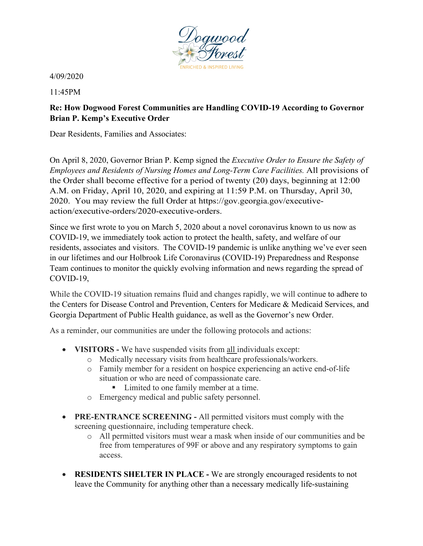

4/09/2020

11:45PM

## **Re: How Dogwood Forest Communities are Handling COVID-19 According to Governor Brian P. Kemp's Executive Order**

Dear Residents, Families and Associates:

On April 8, 2020, Governor Brian P. Kemp signed the *Executive Order to Ensure the Safety of Employees and Residents of Nursing Homes and Long-Term Care Facilities.* All provisions of the Order shall become effective for a period of twenty (20) days, beginning at 12:00 A.M. on Friday, April 10, 2020, and expiring at 11:59 P.M. on Thursday, April 30, 2020. You may review the full Order at https://gov.georgia.gov/executiveaction/executive-orders/2020-executive-orders.

Since we first wrote to you on March 5, 2020 about a novel coronavirus known to us now as COVID-19, we immediately took action to protect the health, safety, and welfare of our residents, associates and visitors. The COVID-19 pandemic is unlike anything we've ever seen in our lifetimes and our Holbrook Life Coronavirus (COVID-19) Preparedness and Response Team continues to monitor the quickly evolving information and news regarding the spread of COVID-19,

While the COVID-19 situation remains fluid and changes rapidly, we will continue to adhere to the Centers for Disease Control and Prevention, Centers for Medicare & Medicaid Services, and Georgia Department of Public Health guidance, as well as the Governor's new Order.

As a reminder, our communities are under the following protocols and actions:

- **VISITORS -** We have suspended visits from all individuals except:
	- o Medically necessary visits from healthcare professionals/workers.
	- o Family member for a resident on hospice experiencing an active end-of-life situation or who are need of compassionate care.
		- Limited to one family member at a time.
	- o Emergency medical and public safety personnel.
- **PRE-ENTRANCE SCREENING** All permitted visitors must comply with the screening questionnaire, including temperature check.
	- o All permitted visitors must wear a mask when inside of our communities and be free from temperatures of 99F or above and any respiratory symptoms to gain access.
- **RESIDENTS SHELTER IN PLACE -** We are strongly encouraged residents to not leave the Community for anything other than a necessary medically life-sustaining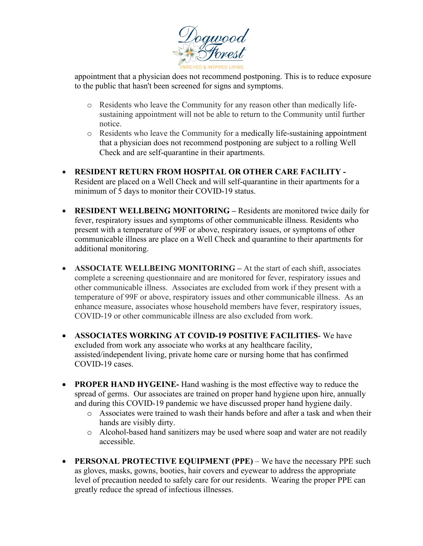

appointment that a physician does not recommend postponing. This is to reduce exposure to the public that hasn't been screened for signs and symptoms.

- o Residents who leave the Community for any reason other than medically lifesustaining appointment will not be able to return to the Community until further notice.
- o Residents who leave the Community for a medically life-sustaining appointment that a physician does not recommend postponing are subject to a rolling Well Check and are self-quarantine in their apartments.
- **RESIDENT RETURN FROM HOSPITAL OR OTHER CARE FACILITY -** Resident are placed on a Well Check and will self-quarantine in their apartments for a minimum of 5 days to monitor their COVID-19 status.
- **RESIDENT WELLBEING MONITORING –** Residents are monitored twice daily for fever, respiratory issues and symptoms of other communicable illness. Residents who present with a temperature of 99F or above, respiratory issues, or symptoms of other communicable illness are place on a Well Check and quarantine to their apartments for additional monitoring.
- **ASSOCIATE WELLBEING MONITORING** At the start of each shift, associates complete a screening questionnaire and are monitored for fever, respiratory issues and other communicable illness. Associates are excluded from work if they present with a temperature of 99F or above, respiratory issues and other communicable illness. As an enhance measure, associates whose household members have fever, respiratory issues, COVID-19 or other communicable illness are also excluded from work.
- **ASSOCIATES WORKING AT COVID-19 POSITIVE FACILITIES** We have excluded from work any associate who works at any healthcare facility, assisted/independent living, private home care or nursing home that has confirmed COVID-19 cases.
- **PROPER HAND HYGEINE-** Hand washing is the most effective way to reduce the spread of germs. Our associates are trained on proper hand hygiene upon hire, annually and during this COVID-19 pandemic we have discussed proper hand hygiene daily.
	- o Associates were trained to wash their hands before and after a task and when their hands are visibly dirty.
	- o Alcohol-based hand sanitizers may be used where soap and water are not readily accessible.
- **PERSONAL PROTECTIVE EQUIPMENT (PPE)** We have the necessary PPE such as gloves, masks, gowns, booties, hair covers and eyewear to address the appropriate level of precaution needed to safely care for our residents. Wearing the proper PPE can greatly reduce the spread of infectious illnesses.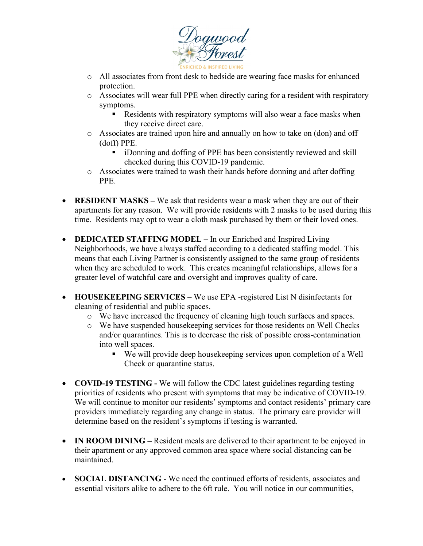

- o All associates from front desk to bedside are wearing face masks for enhanced protection.
- o Associates will wear full PPE when directly caring for a resident with respiratory symptoms.
	- Residents with respiratory symptoms will also wear a face masks when they receive direct care.
- o Associates are trained upon hire and annually on how to take on (don) and off (doff) PPE.
	- iDonning and doffing of PPE has been consistently reviewed and skill checked during this COVID-19 pandemic.
- o Associates were trained to wash their hands before donning and after doffing PPE.
- **RESIDENT MASKS** We ask that residents wear a mask when they are out of their apartments for any reason. We will provide residents with 2 masks to be used during this time. Residents may opt to wear a cloth mask purchased by them or their loved ones.
- **DEDICATED STAFFING MODEL –** In our Enriched and Inspired Living Neighborhoods, we have always staffed according to a dedicated staffing model. This means that each Living Partner is consistently assigned to the same group of residents when they are scheduled to work. This creates meaningful relationships, allows for a greater level of watchful care and oversight and improves quality of care.
- **HOUSEKEEPING SERVICES** We use EPA -registered List N disinfectants for cleaning of residential and public spaces.
	- o We have increased the frequency of cleaning high touch surfaces and spaces.
	- o We have suspended housekeeping services for those residents on Well Checks and/or quarantines. This is to decrease the risk of possible cross-contamination into well spaces.
		- We will provide deep housekeeping services upon completion of a Well Check or quarantine status.
- **COVID-19 TESTING -** We will follow the CDC latest guidelines regarding testing priorities of residents who present with symptoms that may be indicative of COVID-19. We will continue to monitor our residents' symptoms and contact residents' primary care providers immediately regarding any change in status. The primary care provider will determine based on the resident's symptoms if testing is warranted.
- **IN ROOM DINING** Resident meals are delivered to their apartment to be enjoyed in their apartment or any approved common area space where social distancing can be maintained.
- **SOCIAL DISTANCING** We need the continued efforts of residents, associates and essential visitors alike to adhere to the 6ft rule. You will notice in our communities,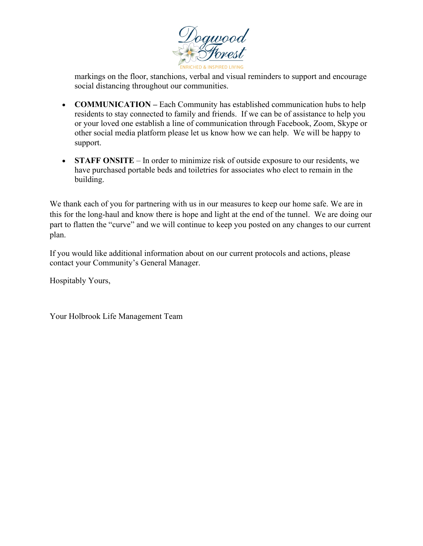

markings on the floor, stanchions, verbal and visual reminders to support and encourage social distancing throughout our communities.

- **COMMUNICATION** Each Community has established communication hubs to help residents to stay connected to family and friends. If we can be of assistance to help you or your loved one establish a line of communication through Facebook, Zoom, Skype or other social media platform please let us know how we can help. We will be happy to support.
- **STAFF ONSITE** In order to minimize risk of outside exposure to our residents, we have purchased portable beds and toiletries for associates who elect to remain in the building.

We thank each of you for partnering with us in our measures to keep our home safe. We are in this for the long-haul and know there is hope and light at the end of the tunnel. We are doing our part to flatten the "curve" and we will continue to keep you posted on any changes to our current plan.

If you would like additional information about on our current protocols and actions, please contact your Community's General Manager.

Hospitably Yours,

Your Holbrook Life Management Team